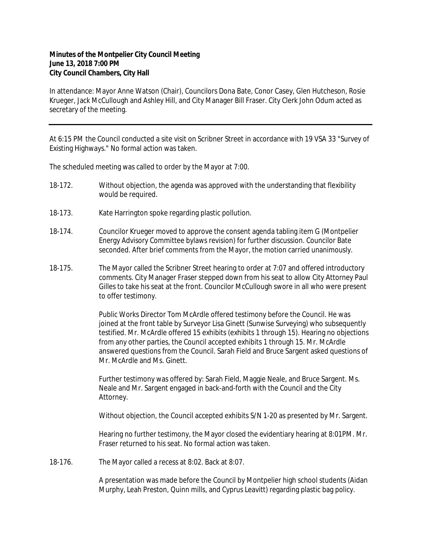## **Minutes of the Montpelier City Council Meeting June 13, 2018 7:00 PM City Council Chambers, City Hall**

In attendance: Mayor Anne Watson (Chair), Councilors Dona Bate, Conor Casey, Glen Hutcheson, Rosie Krueger, Jack McCullough and Ashley Hill, and City Manager Bill Fraser. City Clerk John Odum acted as secretary of the meeting.

At 6:15 PM the Council conducted a site visit on Scribner Street in accordance with 19 VSA 33 "Survey of Existing Highways." No formal action was taken.

The scheduled meeting was called to order by the Mayor at 7:00.

- 18-172. Without objection, the agenda was approved with the understanding that flexibility would be required.
- 18-173. Kate Harrington spoke regarding plastic pollution.
- 18-174. Councilor Krueger moved to approve the consent agenda tabling item G (Montpelier Energy Advisory Committee bylaws revision) for further discussion. Councilor Bate seconded. After brief comments from the Mayor, the motion carried unanimously.
- 18-175. The Mayor called the Scribner Street hearing to order at 7:07 and offered introductory comments. City Manager Fraser stepped down from his seat to allow City Attorney Paul Gilles to take his seat at the front. Councilor McCullough swore in all who were present to offer testimony.

Public Works Director Tom McArdle offered testimony before the Council. He was joined at the front table by Surveyor Lisa Ginett (Sunwise Surveying) who subsequently testified. Mr. McArdle offered 15 exhibits (exhibits 1 through 15). Hearing no objections from any other parties, the Council accepted exhibits 1 through 15. Mr. McArdle answered questions from the Council. Sarah Field and Bruce Sargent asked questions of Mr. McArdle and Ms. Ginett.

Further testimony was offered by: Sarah Field, Maggie Neale, and Bruce Sargent. Ms. Neale and Mr. Sargent engaged in back-and-forth with the Council and the City Attorney.

Without objection, the Council accepted exhibits S/N 1-20 as presented by Mr. Sargent.

Hearing no further testimony, the Mayor closed the evidentiary hearing at 8:01PM. Mr. Fraser returned to his seat. No formal action was taken.

18-176. The Mayor called a recess at 8:02. Back at 8:07.

A presentation was made before the Council by Montpelier high school students (Aidan Murphy, Leah Preston, Quinn mills, and Cyprus Leavitt) regarding plastic bag policy.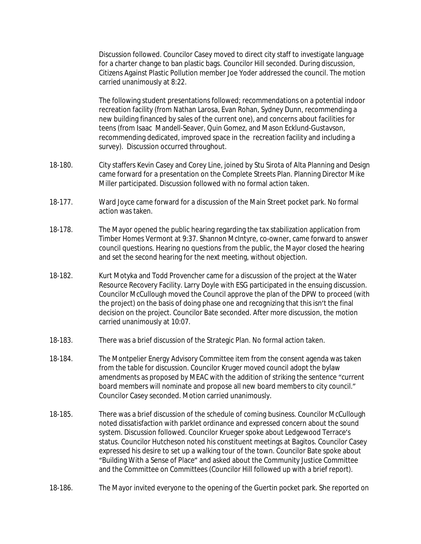Discussion followed. Councilor Casey moved to direct city staff to investigate language for a charter change to ban plastic bags. Councilor Hill seconded. During discussion, Citizens Against Plastic Pollution member Joe Yoder addressed the council. The motion carried unanimously at 8:22.

The following student presentations followed; recommendations on a potential indoor recreation facility (from Nathan Larosa, Evan Rohan, Sydney Dunn, recommending a new building financed by sales of the current one), and concerns about facilities for teens (from Isaac Mandell-Seaver, Quin Gomez, and Mason Ecklund-Gustavson, recommending dedicated, improved space in the recreation facility and including a survey). Discussion occurred throughout.

- 18-180. City staffers Kevin Casey and Corey Line, joined by Stu Sirota of Alta Planning and Design came forward for a presentation on the Complete Streets Plan. Planning Director Mike Miller participated. Discussion followed with no formal action taken.
- 18-177. Ward Joyce came forward for a discussion of the Main Street pocket park. No formal action was taken.
- 18-178. The Mayor opened the public hearing regarding the tax stabilization application from Timber Homes Vermont at 9:37. Shannon McIntyre, co-owner, came forward to answer council questions. Hearing no questions from the public, the Mayor closed the hearing and set the second hearing for the next meeting, without objection.
- 18-182. Kurt Motyka and Todd Provencher came for a discussion of the project at the Water Resource Recovery Facility. Larry Doyle with ESG participated in the ensuing discussion. Councilor McCullough moved the Council approve the plan of the DPW to proceed (with the project) on the basis of doing phase one and recognizing that this isn't the final decision on the project. Councilor Bate seconded. After more discussion, the motion carried unanimously at 10:07.
- 18-183. There was a brief discussion of the Strategic Plan. No formal action taken.
- 18-184. The Montpelier Energy Advisory Committee item from the consent agenda was taken from the table for discussion. Councilor Kruger moved council adopt the bylaw amendments as proposed by MEAC with the addition of striking the sentence "current board members will nominate and propose all new board members to city council." Councilor Casey seconded. Motion carried unanimously.
- 18-185. There was a brief discussion of the schedule of coming business. Councilor McCullough noted dissatisfaction with parklet ordinance and expressed concern about the sound system. Discussion followed. Councilor Krueger spoke about Ledgewood Terrace's status. Councilor Hutcheson noted his constituent meetings at Bagitos. Councilor Casey expressed his desire to set up a walking tour of the town. Councilor Bate spoke about "Building With a Sense of Place" and asked about the Community Justice Committee and the Committee on Committees (Councilor Hill followed up with a brief report).
- 18-186. The Mayor invited everyone to the opening of the Guertin pocket park. She reported on